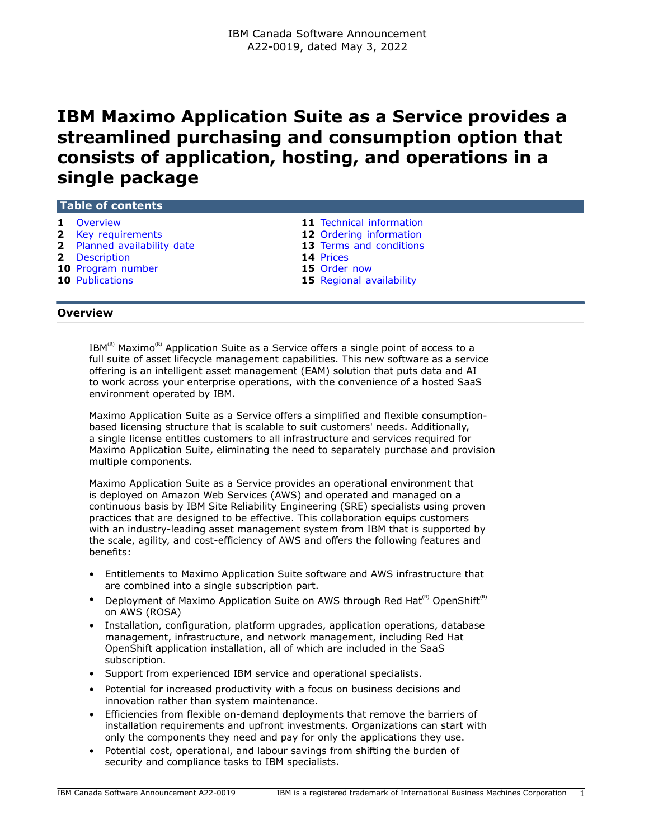# **IBM Maximo Application Suite as a Service provides a streamlined purchasing and consumption option that consists of application, hosting, and operations in a single package**

| <b>1</b> Overview           | 11 Technical information        |  |  |  |
|-----------------------------|---------------------------------|--|--|--|
| 2 Key requirements          | 12 Ordering information         |  |  |  |
| 2 Planned availability date | <b>13</b> Terms and conditions  |  |  |  |
| <b>2</b> Description        | <b>14 Prices</b>                |  |  |  |
| 10 Program number           | 15 Order now                    |  |  |  |
| <b>10 Publications</b>      | <b>15</b> Regional availability |  |  |  |
|                             |                                 |  |  |  |
|                             |                                 |  |  |  |

## <span id="page-0-0"></span>**Overview**

**Table of contents**

 $IBM^{(R)}$  Maximo<sup>(R)</sup> Application Suite as a Service offers a single point of access to a full suite of asset lifecycle management capabilities. This new software as a service offering is an intelligent asset management (EAM) solution that puts data and AI to work across your enterprise operations, with the convenience of a hosted SaaS environment operated by IBM.

Maximo Application Suite as a Service offers a simplified and flexible consumptionbased licensing structure that is scalable to suit customers' needs. Additionally, a single license entitles customers to all infrastructure and services required for Maximo Application Suite, eliminating the need to separately purchase and provision multiple components.

Maximo Application Suite as a Service provides an operational environment that is deployed on Amazon Web Services (AWS) and operated and managed on a continuous basis by IBM Site Reliability Engineering (SRE) specialists using proven practices that are designed to be effective. This collaboration equips customers with an industry-leading asset management system from IBM that is supported by the scale, agility, and cost-efficiency of AWS and offers the following features and benefits:

- Entitlements to Maximo Application Suite software and AWS infrastructure that are combined into a single subscription part.
- Deployment of Maximo Application Suite on AWS through Red Hat<sup>(R)</sup> OpenShift<sup>(R)</sup> on AWS (ROSA)
- Installation, configuration, platform upgrades, application operations, database management, infrastructure, and network management, including Red Hat OpenShift application installation, all of which are included in the SaaS subscription.
- Support from experienced IBM service and operational specialists.
- Potential for increased productivity with a focus on business decisions and innovation rather than system maintenance.
- Efficiencies from flexible on-demand deployments that remove the barriers of installation requirements and upfront investments. Organizations can start with only the components they need and pay for only the applications they use.
- Potential cost, operational, and labour savings from shifting the burden of security and compliance tasks to IBM specialists.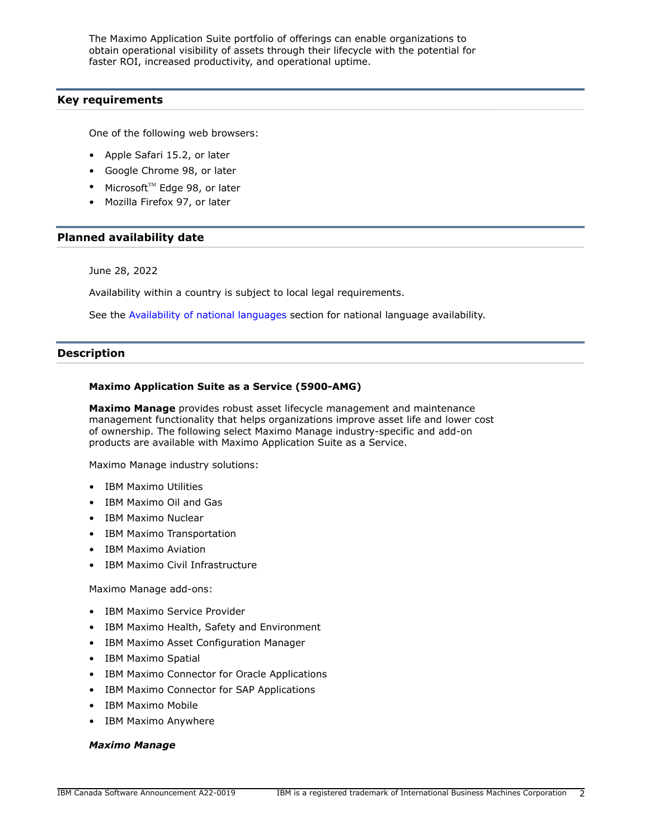The Maximo Application Suite portfolio of offerings can enable organizations to obtain operational visibility of assets through their lifecycle with the potential for faster ROI, increased productivity, and operational uptime.

## <span id="page-1-0"></span>**Key requirements**

One of the following web browsers:

- Apple Safari 15.2, or later
- Google Chrome 98, or later
- Microsoft $TM$  Edge 98, or later
- Mozilla Firefox 97, or later

## <span id="page-1-1"></span>**Planned availability date**

June 28, 2022

Availability within a country is subject to local legal requirements.

See the [Availability of national languages](#page-8-0) section for national language availability.

## <span id="page-1-2"></span>**Description**

## **Maximo Application Suite as a Service (5900-AMG)**

**Maximo Manage** provides robust asset lifecycle management and maintenance management functionality that helps organizations improve asset life and lower cost of ownership. The following select Maximo Manage industry-specific and add-on products are available with Maximo Application Suite as a Service.

Maximo Manage industry solutions:

- IBM Maximo Utilities
- IBM Maximo Oil and Gas
- IBM Maximo Nuclear
- IBM Maximo Transportation
- IBM Maximo Aviation
- IBM Maximo Civil Infrastructure

Maximo Manage add-ons:

- IBM Maximo Service Provider
- IBM Maximo Health, Safety and Environment
- IBM Maximo Asset Configuration Manager
- IBM Maximo Spatial
- IBM Maximo Connector for Oracle Applications
- IBM Maximo Connector for SAP Applications
- IBM Maximo Mobile
- IBM Maximo Anywhere

#### *Maximo Manage*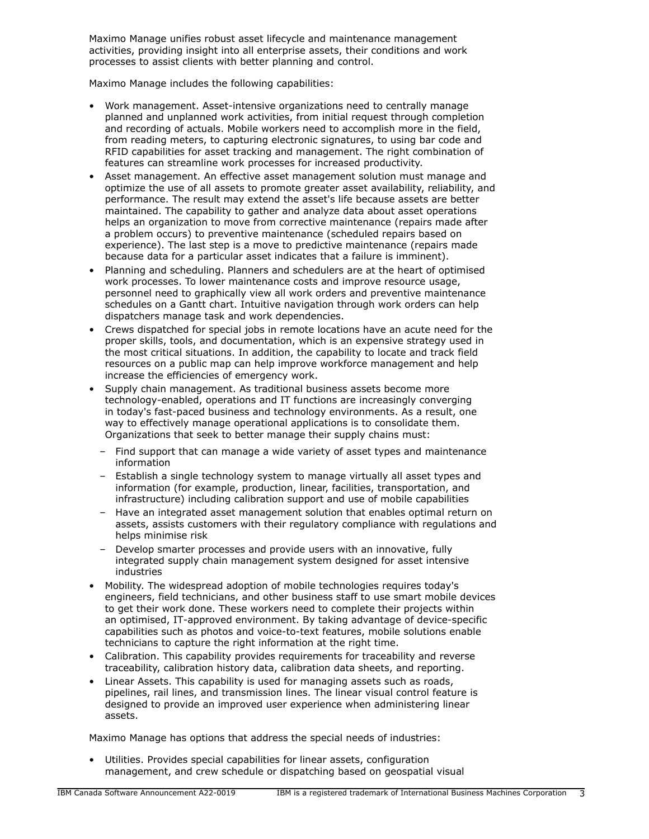Maximo Manage unifies robust asset lifecycle and maintenance management activities, providing insight into all enterprise assets, their conditions and work processes to assist clients with better planning and control.

Maximo Manage includes the following capabilities:

- Work management. Asset-intensive organizations need to centrally manage planned and unplanned work activities, from initial request through completion and recording of actuals. Mobile workers need to accomplish more in the field, from reading meters, to capturing electronic signatures, to using bar code and RFID capabilities for asset tracking and management. The right combination of features can streamline work processes for increased productivity.
- Asset management. An effective asset management solution must manage and optimize the use of all assets to promote greater asset availability, reliability, and performance. The result may extend the asset's life because assets are better maintained. The capability to gather and analyze data about asset operations helps an organization to move from corrective maintenance (repairs made after a problem occurs) to preventive maintenance (scheduled repairs based on experience). The last step is a move to predictive maintenance (repairs made because data for a particular asset indicates that a failure is imminent).
- Planning and scheduling. Planners and schedulers are at the heart of optimised work processes. To lower maintenance costs and improve resource usage, personnel need to graphically view all work orders and preventive maintenance schedules on a Gantt chart. Intuitive navigation through work orders can help dispatchers manage task and work dependencies.
- Crews dispatched for special jobs in remote locations have an acute need for the proper skills, tools, and documentation, which is an expensive strategy used in the most critical situations. In addition, the capability to locate and track field resources on a public map can help improve workforce management and help increase the efficiencies of emergency work.
- Supply chain management. As traditional business assets become more technology-enabled, operations and IT functions are increasingly converging in today's fast-paced business and technology environments. As a result, one way to effectively manage operational applications is to consolidate them. Organizations that seek to better manage their supply chains must:
	- Find support that can manage a wide variety of asset types and maintenance information
	- Establish a single technology system to manage virtually all asset types and information (for example, production, linear, facilities, transportation, and infrastructure) including calibration support and use of mobile capabilities
	- Have an integrated asset management solution that enables optimal return on assets, assists customers with their regulatory compliance with regulations and helps minimise risk
	- Develop smarter processes and provide users with an innovative, fully integrated supply chain management system designed for asset intensive industries
- Mobility. The widespread adoption of mobile technologies requires today's engineers, field technicians, and other business staff to use smart mobile devices to get their work done. These workers need to complete their projects within an optimised, IT-approved environment. By taking advantage of device-specific capabilities such as photos and voice-to-text features, mobile solutions enable technicians to capture the right information at the right time.
- Calibration. This capability provides requirements for traceability and reverse traceability, calibration history data, calibration data sheets, and reporting.
- Linear Assets. This capability is used for managing assets such as roads, pipelines, rail lines, and transmission lines. The linear visual control feature is designed to provide an improved user experience when administering linear assets.

Maximo Manage has options that address the special needs of industries:

• Utilities. Provides special capabilities for linear assets, configuration management, and crew schedule or dispatching based on geospatial visual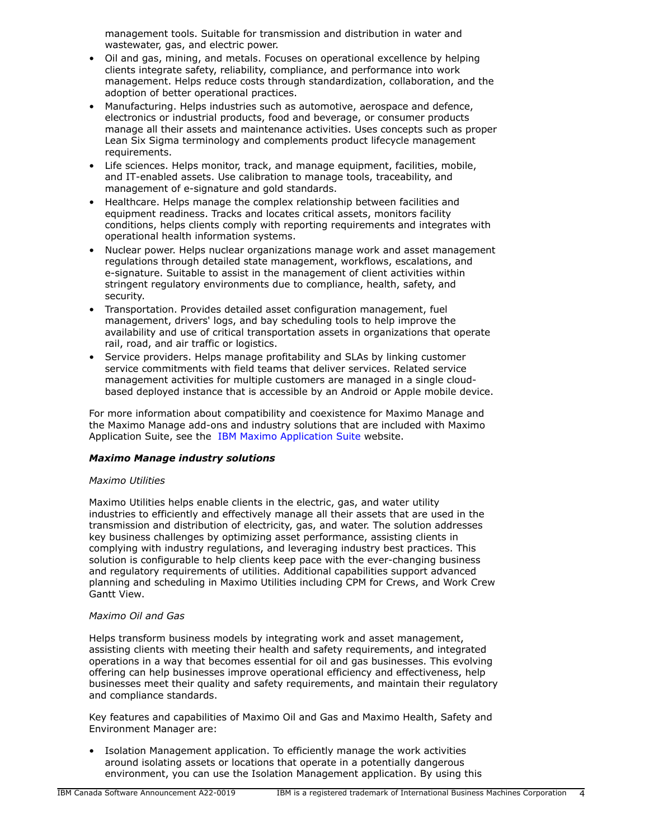management tools. Suitable for transmission and distribution in water and wastewater, gas, and electric power.

- Oil and gas, mining, and metals. Focuses on operational excellence by helping clients integrate safety, reliability, compliance, and performance into work management. Helps reduce costs through standardization, collaboration, and the adoption of better operational practices.
- Manufacturing. Helps industries such as automotive, aerospace and defence, electronics or industrial products, food and beverage, or consumer products manage all their assets and maintenance activities. Uses concepts such as proper Lean Six Sigma terminology and complements product lifecycle management requirements.
- Life sciences, Helps monitor, track, and manage equipment, facilities, mobile, and IT-enabled assets. Use calibration to manage tools, traceability, and management of e-signature and gold standards.
- Healthcare. Helps manage the complex relationship between facilities and equipment readiness. Tracks and locates critical assets, monitors facility conditions, helps clients comply with reporting requirements and integrates with operational health information systems.
- Nuclear power. Helps nuclear organizations manage work and asset management regulations through detailed state management, workflows, escalations, and e-signature. Suitable to assist in the management of client activities within stringent regulatory environments due to compliance, health, safety, and security.
- Transportation. Provides detailed asset configuration management, fuel management, drivers' logs, and bay scheduling tools to help improve the availability and use of critical transportation assets in organizations that operate rail, road, and air traffic or logistics.
- Service providers. Helps manage profitability and SLAs by linking customer service commitments with field teams that deliver services. Related service management activities for multiple customers are managed in a single cloudbased deployed instance that is accessible by an Android or Apple mobile device.

For more information about compatibility and coexistence for Maximo Manage and the Maximo Manage add-ons and industry solutions that are included with Maximo Application Suite, see the [IBM Maximo Application Suite](https://www.ibm.com/products/maximo) website.

## *Maximo Manage industry solutions*

## *Maximo Utilities*

Maximo Utilities helps enable clients in the electric, gas, and water utility industries to efficiently and effectively manage all their assets that are used in the transmission and distribution of electricity, gas, and water. The solution addresses key business challenges by optimizing asset performance, assisting clients in complying with industry regulations, and leveraging industry best practices. This solution is configurable to help clients keep pace with the ever-changing business and regulatory requirements of utilities. Additional capabilities support advanced planning and scheduling in Maximo Utilities including CPM for Crews, and Work Crew Gantt View.

#### *Maximo Oil and Gas*

Helps transform business models by integrating work and asset management, assisting clients with meeting their health and safety requirements, and integrated operations in a way that becomes essential for oil and gas businesses. This evolving offering can help businesses improve operational efficiency and effectiveness, help businesses meet their quality and safety requirements, and maintain their regulatory and compliance standards.

Key features and capabilities of Maximo Oil and Gas and Maximo Health, Safety and Environment Manager are:

• Isolation Management application. To efficiently manage the work activities around isolating assets or locations that operate in a potentially dangerous environment, you can use the Isolation Management application. By using this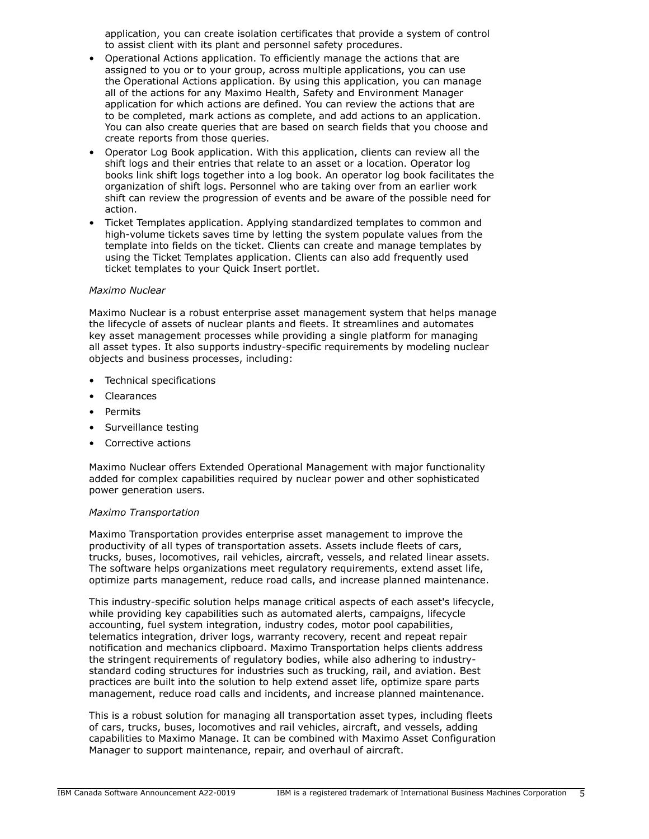application, you can create isolation certificates that provide a system of control to assist client with its plant and personnel safety procedures.

- Operational Actions application. To efficiently manage the actions that are assigned to you or to your group, across multiple applications, you can use the Operational Actions application. By using this application, you can manage all of the actions for any Maximo Health, Safety and Environment Manager application for which actions are defined. You can review the actions that are to be completed, mark actions as complete, and add actions to an application. You can also create queries that are based on search fields that you choose and create reports from those queries.
- Operator Log Book application. With this application, clients can review all the shift logs and their entries that relate to an asset or a location. Operator log books link shift logs together into a log book. An operator log book facilitates the organization of shift logs. Personnel who are taking over from an earlier work shift can review the progression of events and be aware of the possible need for action.
- Ticket Templates application. Applying standardized templates to common and high-volume tickets saves time by letting the system populate values from the template into fields on the ticket. Clients can create and manage templates by using the Ticket Templates application. Clients can also add frequently used ticket templates to your Quick Insert portlet.

#### *Maximo Nuclear*

Maximo Nuclear is a robust enterprise asset management system that helps manage the lifecycle of assets of nuclear plants and fleets. It streamlines and automates key asset management processes while providing a single platform for managing all asset types. It also supports industry-specific requirements by modeling nuclear objects and business processes, including:

- Technical specifications
- Clearances
- **Permits**
- Surveillance testing
- Corrective actions

Maximo Nuclear offers Extended Operational Management with major functionality added for complex capabilities required by nuclear power and other sophisticated power generation users.

#### *Maximo Transportation*

Maximo Transportation provides enterprise asset management to improve the productivity of all types of transportation assets. Assets include fleets of cars, trucks, buses, locomotives, rail vehicles, aircraft, vessels, and related linear assets. The software helps organizations meet regulatory requirements, extend asset life, optimize parts management, reduce road calls, and increase planned maintenance.

This industry-specific solution helps manage critical aspects of each asset's lifecycle, while providing key capabilities such as automated alerts, campaigns, lifecycle accounting, fuel system integration, industry codes, motor pool capabilities, telematics integration, driver logs, warranty recovery, recent and repeat repair notification and mechanics clipboard. Maximo Transportation helps clients address the stringent requirements of regulatory bodies, while also adhering to industrystandard coding structures for industries such as trucking, rail, and aviation. Best practices are built into the solution to help extend asset life, optimize spare parts management, reduce road calls and incidents, and increase planned maintenance.

This is a robust solution for managing all transportation asset types, including fleets of cars, trucks, buses, locomotives and rail vehicles, aircraft, and vessels, adding capabilities to Maximo Manage. It can be combined with Maximo Asset Configuration Manager to support maintenance, repair, and overhaul of aircraft.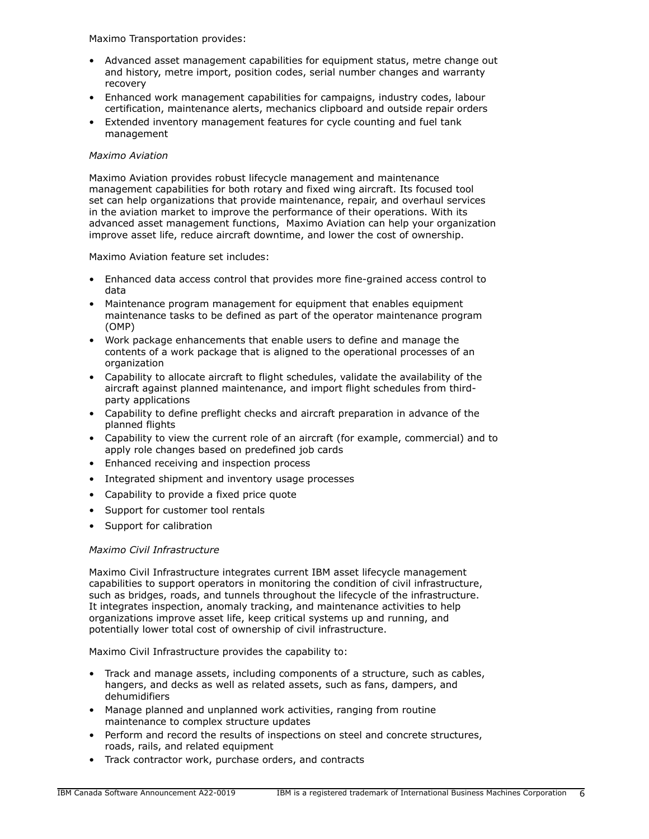Maximo Transportation provides:

- Advanced asset management capabilities for equipment status, metre change out and history, metre import, position codes, serial number changes and warranty recovery
- Enhanced work management capabilities for campaigns, industry codes, labour certification, maintenance alerts, mechanics clipboard and outside repair orders
- Extended inventory management features for cycle counting and fuel tank management

## *Maximo Aviation*

Maximo Aviation provides robust lifecycle management and maintenance management capabilities for both rotary and fixed wing aircraft. Its focused tool set can help organizations that provide maintenance, repair, and overhaul services in the aviation market to improve the performance of their operations. With its advanced asset management functions, Maximo Aviation can help your organization improve asset life, reduce aircraft downtime, and lower the cost of ownership.

Maximo Aviation feature set includes:

- Enhanced data access control that provides more fine-grained access control to data
- Maintenance program management for equipment that enables equipment maintenance tasks to be defined as part of the operator maintenance program (OMP)
- Work package enhancements that enable users to define and manage the contents of a work package that is aligned to the operational processes of an organization
- Capability to allocate aircraft to flight schedules, validate the availability of the aircraft against planned maintenance, and import flight schedules from thirdparty applications
- Capability to define preflight checks and aircraft preparation in advance of the planned flights
- Capability to view the current role of an aircraft (for example, commercial) and to apply role changes based on predefined job cards
- Enhanced receiving and inspection process
- Integrated shipment and inventory usage processes
- Capability to provide a fixed price quote
- Support for customer tool rentals
- Support for calibration

## *Maximo Civil Infrastructure*

Maximo Civil Infrastructure integrates current IBM asset lifecycle management capabilities to support operators in monitoring the condition of civil infrastructure, such as bridges, roads, and tunnels throughout the lifecycle of the infrastructure. It integrates inspection, anomaly tracking, and maintenance activities to help organizations improve asset life, keep critical systems up and running, and potentially lower total cost of ownership of civil infrastructure.

Maximo Civil Infrastructure provides the capability to:

- Track and manage assets, including components of a structure, such as cables, hangers, and decks as well as related assets, such as fans, dampers, and dehumidifiers
- Manage planned and unplanned work activities, ranging from routine maintenance to complex structure updates
- Perform and record the results of inspections on steel and concrete structures, roads, rails, and related equipment
- Track contractor work, purchase orders, and contracts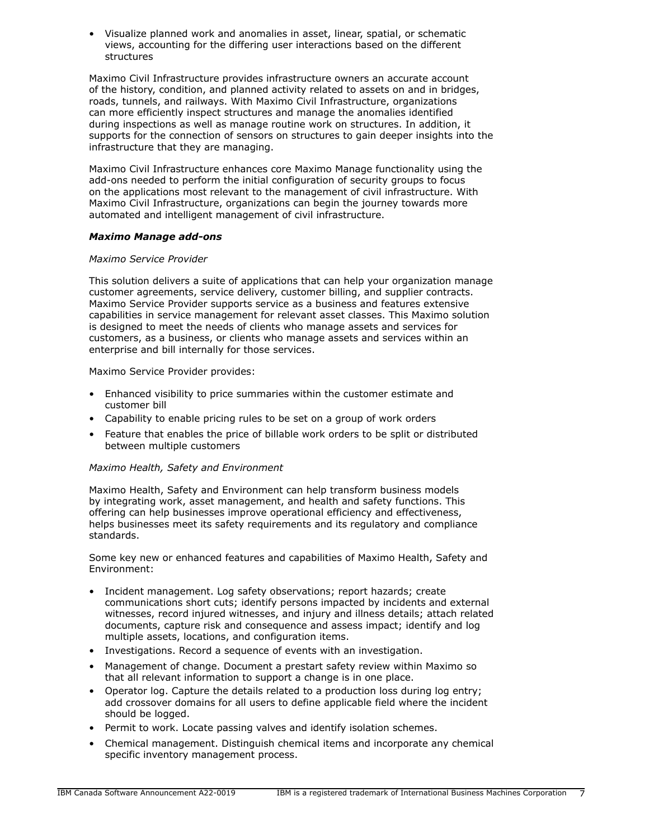• Visualize planned work and anomalies in asset, linear, spatial, or schematic views, accounting for the differing user interactions based on the different structures

Maximo Civil Infrastructure provides infrastructure owners an accurate account of the history, condition, and planned activity related to assets on and in bridges, roads, tunnels, and railways. With Maximo Civil Infrastructure, organizations can more efficiently inspect structures and manage the anomalies identified during inspections as well as manage routine work on structures. In addition, it supports for the connection of sensors on structures to gain deeper insights into the infrastructure that they are managing.

Maximo Civil Infrastructure enhances core Maximo Manage functionality using the add-ons needed to perform the initial configuration of security groups to focus on the applications most relevant to the management of civil infrastructure. With Maximo Civil Infrastructure, organizations can begin the journey towards more automated and intelligent management of civil infrastructure.

## *Maximo Manage add-ons*

## *Maximo Service Provider*

This solution delivers a suite of applications that can help your organization manage customer agreements, service delivery, customer billing, and supplier contracts. Maximo Service Provider supports service as a business and features extensive capabilities in service management for relevant asset classes. This Maximo solution is designed to meet the needs of clients who manage assets and services for customers, as a business, or clients who manage assets and services within an enterprise and bill internally for those services.

Maximo Service Provider provides:

- Enhanced visibility to price summaries within the customer estimate and customer bill
- Capability to enable pricing rules to be set on a group of work orders
- Feature that enables the price of billable work orders to be split or distributed between multiple customers

## *Maximo Health, Safety and Environment*

Maximo Health, Safety and Environment can help transform business models by integrating work, asset management, and health and safety functions. This offering can help businesses improve operational efficiency and effectiveness, helps businesses meet its safety requirements and its regulatory and compliance standards.

Some key new or enhanced features and capabilities of Maximo Health, Safety and Environment:

- Incident management. Log safety observations; report hazards; create communications short cuts; identify persons impacted by incidents and external witnesses, record injured witnesses, and injury and illness details; attach related documents, capture risk and consequence and assess impact; identify and log multiple assets, locations, and configuration items.
- Investigations. Record a sequence of events with an investigation.
- Management of change. Document a prestart safety review within Maximo so that all relevant information to support a change is in one place.
- Operator log. Capture the details related to a production loss during log entry; add crossover domains for all users to define applicable field where the incident should be logged.
- Permit to work. Locate passing valves and identify isolation schemes.
- Chemical management. Distinguish chemical items and incorporate any chemical specific inventory management process.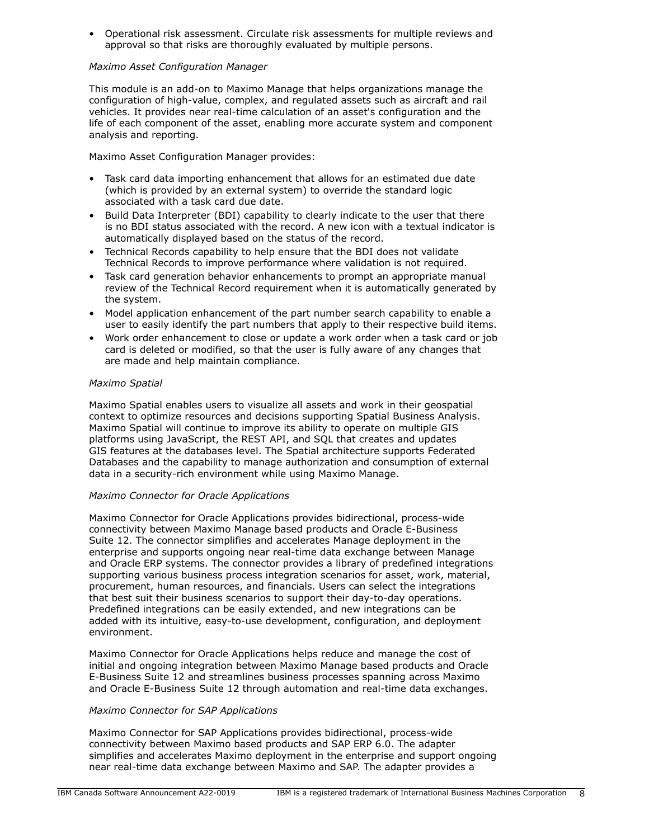• Operational risk assessment. Circulate risk assessments for multiple reviews and approval so that risks are thoroughly evaluated by multiple persons.

## *Maximo Asset Configuration Manager*

This module is an add-on to Maximo Manage that helps organizations manage the configuration of high-value, complex, and regulated assets such as aircraft and rail vehicles. It provides near real-time calculation of an asset's configuration and the life of each component of the asset, enabling more accurate system and component analysis and reporting.

Maximo Asset Configuration Manager provides:

- Task card data importing enhancement that allows for an estimated due date (which is provided by an external system) to override the standard logic associated with a task card due date.
- Build Data Interpreter (BDI) capability to clearly indicate to the user that there is no BDI status associated with the record. A new icon with a textual indicator is automatically displayed based on the status of the record.
- Technical Records capability to help ensure that the BDI does not validate Technical Records to improve performance where validation is not required.
- Task card generation behavior enhancements to prompt an appropriate manual review of the Technical Record requirement when it is automatically generated by the system.
- Model application enhancement of the part number search capability to enable a user to easily identify the part numbers that apply to their respective build items.
- Work order enhancement to close or update a work order when a task card or job card is deleted or modified, so that the user is fully aware of any changes that are made and help maintain compliance.

## *Maximo Spatial*

Maximo Spatial enables users to visualize all assets and work in their geospatial context to optimize resources and decisions supporting Spatial Business Analysis. Maximo Spatial will continue to improve its ability to operate on multiple GIS platforms using JavaScript, the REST API, and SQL that creates and updates GIS features at the databases level. The Spatial architecture supports Federated Databases and the capability to manage authorization and consumption of external data in a security-rich environment while using Maximo Manage.

## *Maximo Connector for Oracle Applications*

Maximo Connector for Oracle Applications provides bidirectional, process-wide connectivity between Maximo Manage based products and Oracle E-Business Suite 12. The connector simplifies and accelerates Manage deployment in the enterprise and supports ongoing near real-time data exchange between Manage and Oracle ERP systems. The connector provides a library of predefined integrations supporting various business process integration scenarios for asset, work, material, procurement, human resources, and financials. Users can select the integrations that best suit their business scenarios to support their day-to-day operations. Predefined integrations can be easily extended, and new integrations can be added with its intuitive, easy-to-use development, configuration, and deployment environment.

Maximo Connector for Oracle Applications helps reduce and manage the cost of initial and ongoing integration between Maximo Manage based products and Oracle E-Business Suite 12 and streamlines business processes spanning across Maximo and Oracle E-Business Suite 12 through automation and real-time data exchanges.

## *Maximo Connector for SAP Applications*

Maximo Connector for SAP Applications provides bidirectional, process-wide connectivity between Maximo based products and SAP ERP 6.0. The adapter simplifies and accelerates Maximo deployment in the enterprise and support ongoing near real-time data exchange between Maximo and SAP. The adapter provides a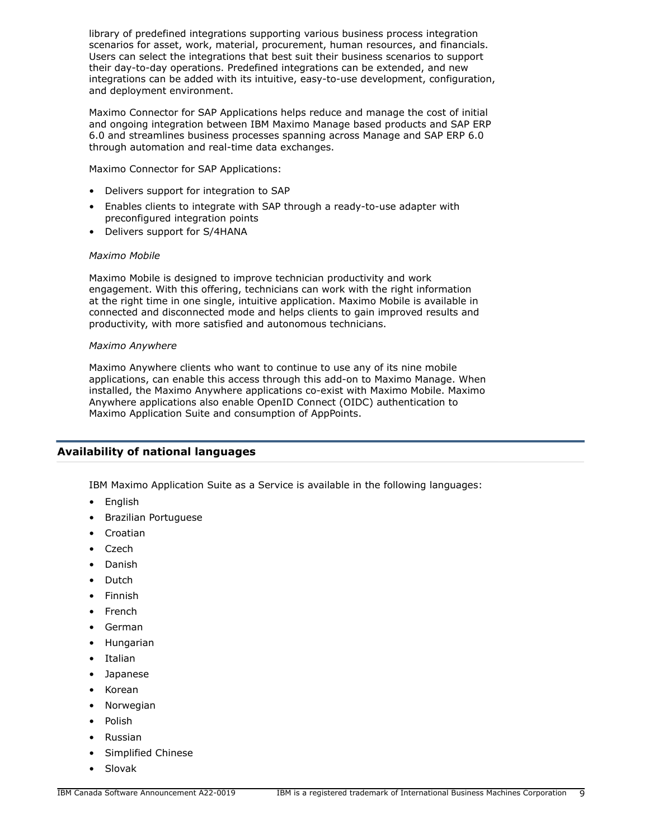library of predefined integrations supporting various business process integration scenarios for asset, work, material, procurement, human resources, and financials. Users can select the integrations that best suit their business scenarios to support their day-to-day operations. Predefined integrations can be extended, and new integrations can be added with its intuitive, easy-to-use development, configuration, and deployment environment.

Maximo Connector for SAP Applications helps reduce and manage the cost of initial and ongoing integration between IBM Maximo Manage based products and SAP ERP 6.0 and streamlines business processes spanning across Manage and SAP ERP 6.0 through automation and real-time data exchanges.

Maximo Connector for SAP Applications:

- Delivers support for integration to SAP
- Enables clients to integrate with SAP through a ready-to-use adapter with preconfigured integration points
- Delivers support for S/4HANA

## *Maximo Mobile*

Maximo Mobile is designed to improve technician productivity and work engagement. With this offering, technicians can work with the right information at the right time in one single, intuitive application. Maximo Mobile is available in connected and disconnected mode and helps clients to gain improved results and productivity, with more satisfied and autonomous technicians.

#### *Maximo Anywhere*

Maximo Anywhere clients who want to continue to use any of its nine mobile applications, can enable this access through this add-on to Maximo Manage. When installed, the Maximo Anywhere applications co-exist with Maximo Mobile. Maximo Anywhere applications also enable OpenID Connect (OIDC) authentication to Maximo Application Suite and consumption of AppPoints.

## <span id="page-8-0"></span>**Availability of national languages**

IBM Maximo Application Suite as a Service is available in the following languages:

- English
- Brazilian Portuguese
- Croatian
- Czech
- Danish
- Dutch
- Finnish
- **French**
- German
- Hungarian
- **Italian**
- Japanese
- Korean
- Norwegian
- Polish
- Russian
- Simplified Chinese
- Slovak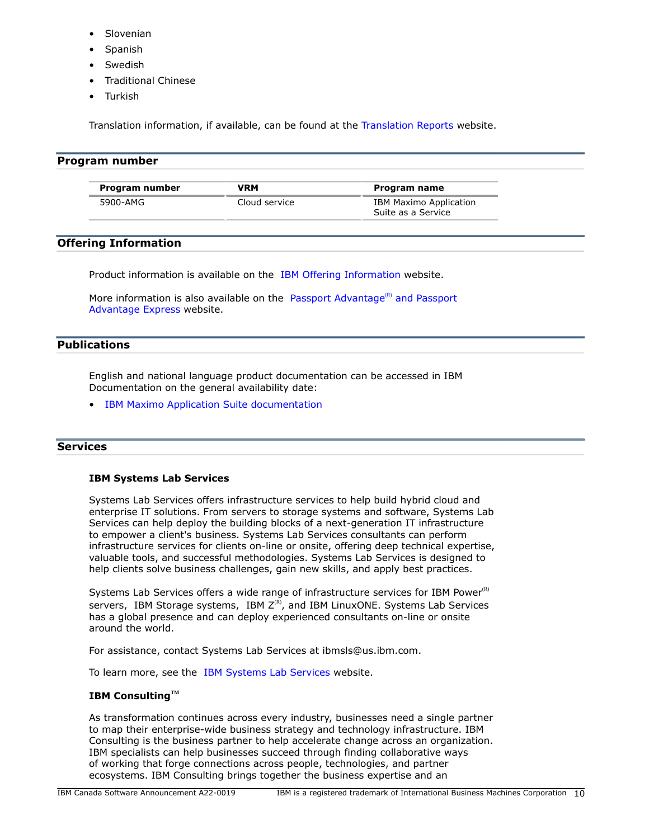- **Slovenian**
- **Spanish**
- **Swedish**
- Traditional Chinese
- **Turkish**

Translation information, if available, can be found at the [Translation Reports](http://www.ibm.com/software/reports/compatibility/clarity/languageCategory.html) website.

# <span id="page-9-0"></span>**Program number**

| Program number | VRM           | Program name           |
|----------------|---------------|------------------------|
| 5900-AMG       | Cloud service | IBM Maximo Application |
|                |               | Suite as a Service     |

# **Offering Information**

Product information is available on the [IBM Offering Information](http://www.ibm.com/common/ssi) website.

More information is also available on the [Passport Advantage](http://www.ibm.com/software/passportadvantage)<sup>(R)</sup> and Passport [Advantage Express](http://www.ibm.com/software/passportadvantage) website.

# <span id="page-9-1"></span>**Publications**

English and national language product documentation can be accessed in IBM Documentation on the general availability date:

• [IBM Maximo Application Suite documentation](http://www.ibm.com/docs/mas/latest)

# **Services**

## **IBM Systems Lab Services**

Systems Lab Services offers infrastructure services to help build hybrid cloud and enterprise IT solutions. From servers to storage systems and software, Systems Lab Services can help deploy the building blocks of a next-generation IT infrastructure to empower a client's business. Systems Lab Services consultants can perform infrastructure services for clients on-line or onsite, offering deep technical expertise, valuable tools, and successful methodologies. Systems Lab Services is designed to help clients solve business challenges, gain new skills, and apply best practices.

Systems Lab Services offers a wide range of infrastructure services for IBM Power $R$ ) servers, IBM Storage systems, IBM  $Z^{(R)}$ , and IBM LinuxONE. Systems Lab Services has a global presence and can deploy experienced consultants on-line or onsite around the world.

For assistance, contact Systems Lab Services at ibmsls@us.ibm.com.

To learn more, see the [IBM Systems Lab Services](https://www.ibm.com/it-infrastructure/services/lab-services) website.

# **IBM ConsultingTM**

As transformation continues across every industry, businesses need a single partner to map their enterprise-wide business strategy and technology infrastructure. IBM Consulting is the business partner to help accelerate change across an organization. IBM specialists can help businesses succeed through finding collaborative ways of working that forge connections across people, technologies, and partner ecosystems. IBM Consulting brings together the business expertise and an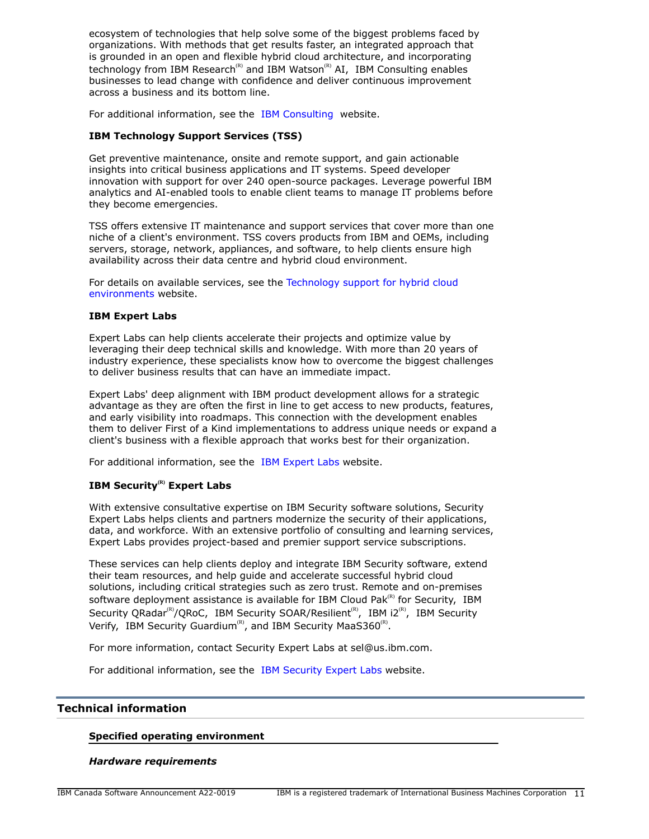ecosystem of technologies that help solve some of the biggest problems faced by organizations. With methods that get results faster, an integrated approach that is grounded in an open and flexible hybrid cloud architecture, and incorporating technology from IBM Research<sup>(R)</sup> and IBM Watson<sup>(R)</sup> AI, IBM Consulting enables businesses to lead change with confidence and deliver continuous improvement across a business and its bottom line.

For additional information, see the [IBM Consulting](https://www.ibm.com/consulting) website.

## **IBM Technology Support Services (TSS)**

Get preventive maintenance, onsite and remote support, and gain actionable insights into critical business applications and IT systems. Speed developer innovation with support for over 240 open-source packages. Leverage powerful IBM analytics and AI-enabled tools to enable client teams to manage IT problems before they become emergencies.

TSS offers extensive IT maintenance and support services that cover more than one niche of a client's environment. TSS covers products from IBM and OEMs, including servers, storage, network, appliances, and software, to help clients ensure high availability across their data centre and hybrid cloud environment.

For details on available services, see the [Technology support for hybrid cloud](https://www.ibm.com/services/technology-support) [environments](https://www.ibm.com/services/technology-support) website.

#### **IBM Expert Labs**

Expert Labs can help clients accelerate their projects and optimize value by leveraging their deep technical skills and knowledge. With more than 20 years of industry experience, these specialists know how to overcome the biggest challenges to deliver business results that can have an immediate impact.

Expert Labs' deep alignment with IBM product development allows for a strategic advantage as they are often the first in line to get access to new products, features, and early visibility into roadmaps. This connection with the development enables them to deliver First of a Kind implementations to address unique needs or expand a client's business with a flexible approach that works best for their organization.

For additional information, see the [IBM Expert Labs](https://www.ibm.com/products/expertlabs) website.

# **IBM Security(R) Expert Labs**

With extensive consultative expertise on IBM Security software solutions, Security Expert Labs helps clients and partners modernize the security of their applications, data, and workforce. With an extensive portfolio of consulting and learning services, Expert Labs provides project-based and premier support service subscriptions.

These services can help clients deploy and integrate IBM Security software, extend their team resources, and help guide and accelerate successful hybrid cloud solutions, including critical strategies such as zero trust. Remote and on-premises software deployment assistance is available for IBM Cloud Pak ${}^{\text{\tiny(R)}}$  for Security, IBM Security QRadar<sup>(R)</sup>/QRoC, IBM Security SOAR/Resilient<sup>(R)</sup>, IBM i2<sup>(R)</sup>, IBM Security Verify, IBM Security Guardium<sup>(R)</sup>, and IBM Security MaaS360<sup>(R)</sup>.

For more information, contact Security Expert Labs at sel@us.ibm.com.

For additional information, see the [IBM Security Expert Labs](https://www.ibm.com/security/security-expert-labs) website.

## <span id="page-10-0"></span>**Technical information**

#### **Specified operating environment**

#### *Hardware requirements*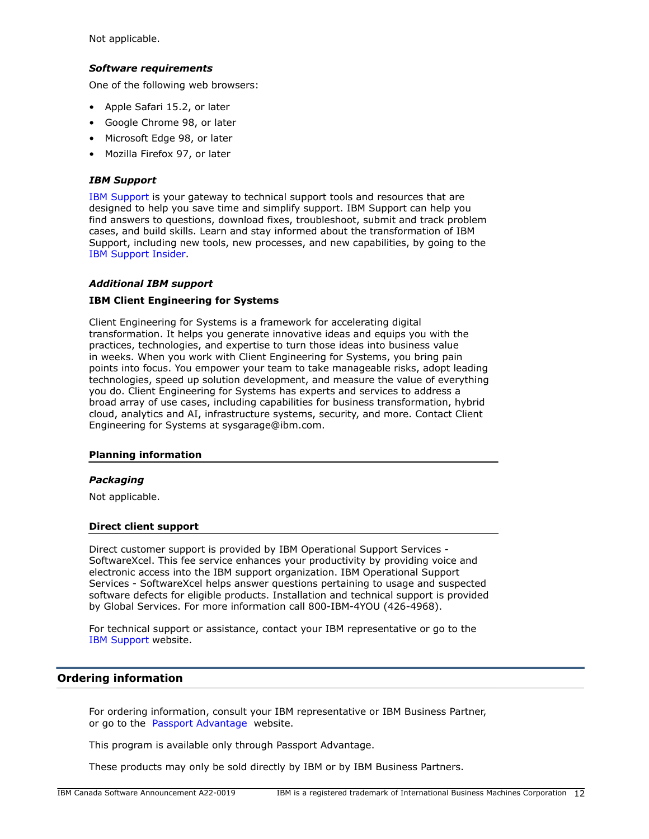Not applicable.

## *Software requirements*

One of the following web browsers:

- Apple Safari 15.2, or later
- Google Chrome 98, or later
- Microsoft Edge 98, or later
- Mozilla Firefox 97, or later

## *IBM Support*

[IBM Support](https://www.ibm.com/support) is your gateway to technical support tools and resources that are designed to help you save time and simplify support. IBM Support can help you find answers to questions, download fixes, troubleshoot, submit and track problem cases, and build skills. Learn and stay informed about the transformation of IBM Support, including new tools, new processes, and new capabilities, by going to the [IBM Support Insider](https://www.ibm.com/support/insider).

## *Additional IBM support*

#### **IBM Client Engineering for Systems**

Client Engineering for Systems is a framework for accelerating digital transformation. It helps you generate innovative ideas and equips you with the practices, technologies, and expertise to turn those ideas into business value in weeks. When you work with Client Engineering for Systems, you bring pain points into focus. You empower your team to take manageable risks, adopt leading technologies, speed up solution development, and measure the value of everything you do. Client Engineering for Systems has experts and services to address a broad array of use cases, including capabilities for business transformation, hybrid cloud, analytics and AI, infrastructure systems, security, and more. Contact Client Engineering for Systems at sysgarage@ibm.com.

#### **Planning information**

#### *Packaging*

Not applicable.

#### **Direct client support**

Direct customer support is provided by IBM Operational Support Services - SoftwareXcel. This fee service enhances your productivity by providing voice and electronic access into the IBM support organization. IBM Operational Support Services - SoftwareXcel helps answer questions pertaining to usage and suspected software defects for eligible products. Installation and technical support is provided by Global Services. For more information call 800-IBM-4YOU (426-4968).

For technical support or assistance, contact your IBM representative or go to the [IBM Support](http://www.ibm.com/support) website.

## <span id="page-11-0"></span>**Ordering information**

For ordering information, consult your IBM representative or IBM Business Partner, or go to the [Passport Advantage](https://www.ibm.com/software/passportadvantage/) website.

This program is available only through Passport Advantage.

These products may only be sold directly by IBM or by IBM Business Partners.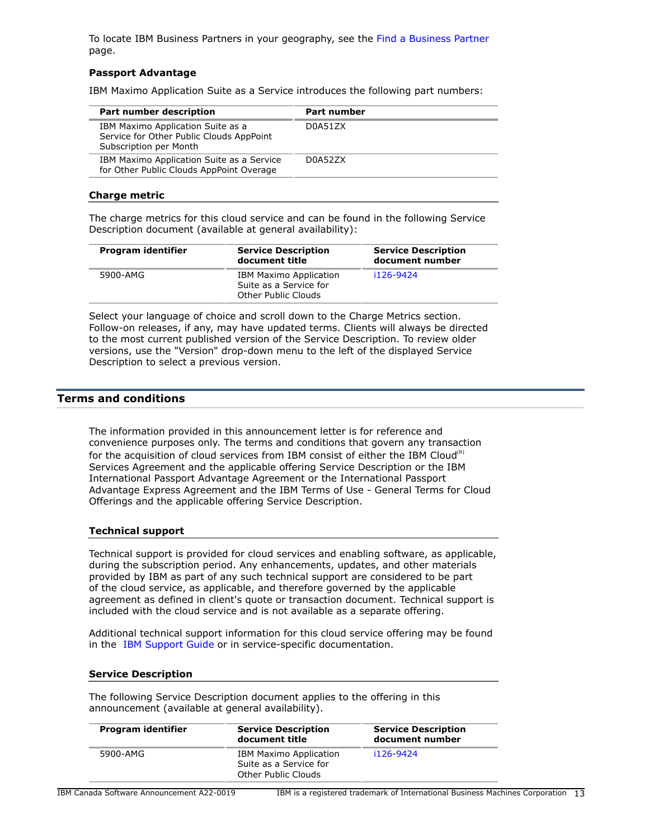To locate IBM Business Partners in your geography, see the [Find a Business Partner](http://www.ibm.com/partnerworld/wps/bplocator/) page.

## **Passport Advantage**

IBM Maximo Application Suite as a Service introduces the following part numbers:

| Part number description                                                                                 | <b>Part number</b> |
|---------------------------------------------------------------------------------------------------------|--------------------|
| IBM Maximo Application Suite as a<br>Service for Other Public Clouds AppPoint<br>Subscription per Month | D0A51ZX            |
| IBM Maximo Application Suite as a Service<br>for Other Public Clouds AppPoint Overage                   | D0A52ZX            |

## **Charge metric**

The charge metrics for this cloud service and can be found in the following Service Description document (available at general availability):

| Program identifier | <b>Service Description</b><br>document title                                   | <b>Service Description</b><br>document number |
|--------------------|--------------------------------------------------------------------------------|-----------------------------------------------|
| 5900-AMG           | <b>IBM Maximo Application</b><br>Suite as a Service for<br>Other Public Clouds | i126-9424                                     |

Select your language of choice and scroll down to the Charge Metrics section. Follow-on releases, if any, may have updated terms. Clients will always be directed to the most current published version of the Service Description. To review older versions, use the "Version" drop-down menu to the left of the displayed Service Description to select a previous version.

## <span id="page-12-0"></span>**Terms and conditions**

The information provided in this announcement letter is for reference and convenience purposes only. The terms and conditions that govern any transaction for the acquisition of cloud services from IBM consist of either the IBM Cloud<sup>(R)</sup> Services Agreement and the applicable offering Service Description or the IBM International Passport Advantage Agreement or the International Passport Advantage Express Agreement and the IBM Terms of Use - General Terms for Cloud Offerings and the applicable offering Service Description.

#### **Technical support**

Technical support is provided for cloud services and enabling software, as applicable, during the subscription period. Any enhancements, updates, and other materials provided by IBM as part of any such technical support are considered to be part of the cloud service, as applicable, and therefore governed by the applicable agreement as defined in client's quote or transaction document. Technical support is included with the cloud service and is not available as a separate offering.

Additional technical support information for this cloud service offering may be found in the [IBM Support Guide](http://www.ibm.com/support/customercare/sas/f/handbook/home.html) or in service-specific documentation.

#### **Service Description**

The following Service Description document applies to the offering in this announcement (available at general availability).

| Program identifier | <b>Service Description</b><br>document title                                   | <b>Service Description</b><br>document number |
|--------------------|--------------------------------------------------------------------------------|-----------------------------------------------|
| 5900-AMG           | <b>IBM Maximo Application</b><br>Suite as a Service for<br>Other Public Clouds | i126-9424                                     |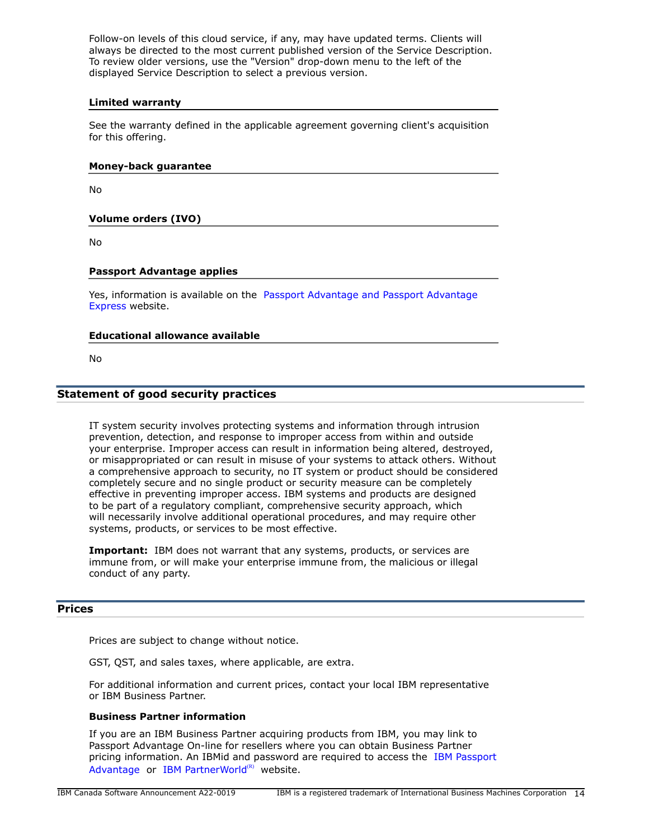Follow-on levels of this cloud service, if any, may have updated terms. Clients will always be directed to the most current published version of the Service Description. To review older versions, use the "Version" drop-down menu to the left of the displayed Service Description to select a previous version.

#### **Limited warranty**

See the warranty defined in the applicable agreement governing client's acquisition for this offering.

#### **Money-back guarantee**

No

# **Volume orders (IVO)**

No

## **Passport Advantage applies**

Yes, information is available on the [Passport Advantage and Passport Advantage](http://www.ibm.com/software/passportadvantage) [Express](http://www.ibm.com/software/passportadvantage) website.

## **Educational allowance available**

No

## **Statement of good security practices**

IT system security involves protecting systems and information through intrusion prevention, detection, and response to improper access from within and outside your enterprise. Improper access can result in information being altered, destroyed, or misappropriated or can result in misuse of your systems to attack others. Without a comprehensive approach to security, no IT system or product should be considered completely secure and no single product or security measure can be completely effective in preventing improper access. IBM systems and products are designed to be part of a regulatory compliant, comprehensive security approach, which will necessarily involve additional operational procedures, and may require other systems, products, or services to be most effective.

**Important:** IBM does not warrant that any systems, products, or services are immune from, or will make your enterprise immune from, the malicious or illegal conduct of any party.

## <span id="page-13-0"></span>**Prices**

Prices are subject to change without notice.

GST, QST, and sales taxes, where applicable, are extra.

For additional information and current prices, contact your local IBM representative or IBM Business Partner.

## **Business Partner information**

If you are an IBM Business Partner acquiring products from IBM, you may link to Passport Advantage On-line for resellers where you can obtain Business Partner pricing information. An IBMid and password are required to access the [IBM Passport](https://www.ibm.com/software/passportadvantage/pao_reseller.html) [Advantage](https://www.ibm.com/software/passportadvantage/pao_reseller.html) or [IBM PartnerWorld](https://www.ibm.com/partnerworld/resources/sell) $(R)$  website.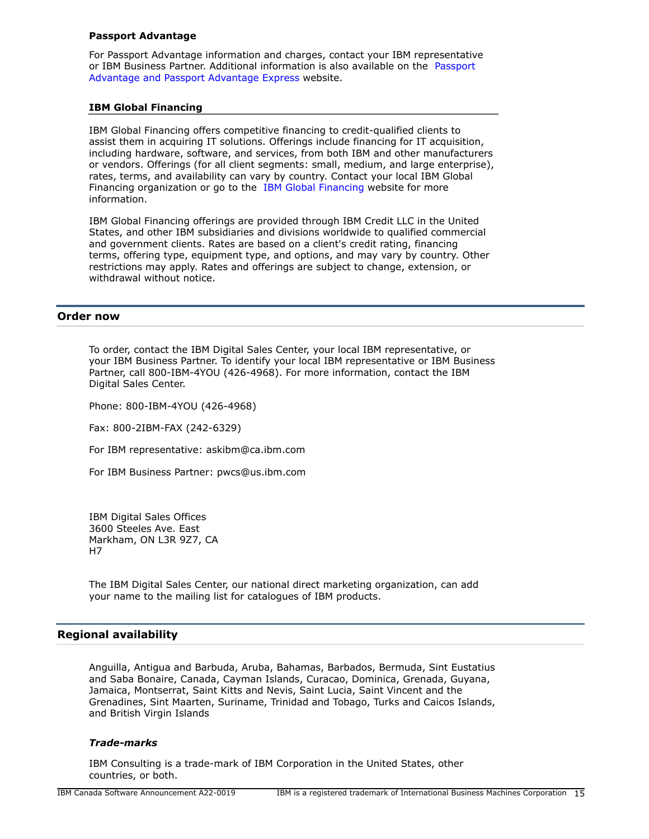#### **Passport Advantage**

For Passport Advantage information and charges, contact your IBM representative or IBM Business Partner. Additional information is also available on the [Passport](http://www.ibm.com/software/passportadvantage) [Advantage and Passport Advantage Express](http://www.ibm.com/software/passportadvantage) website.

#### **IBM Global Financing**

IBM Global Financing offers competitive financing to credit-qualified clients to assist them in acquiring IT solutions. Offerings include financing for IT acquisition, including hardware, software, and services, from both IBM and other manufacturers or vendors. Offerings (for all client segments: small, medium, and large enterprise), rates, terms, and availability can vary by country. Contact your local IBM Global Financing organization or go to the [IBM Global Financing](http://www.ibm.com/financing) website for more information.

IBM Global Financing offerings are provided through IBM Credit LLC in the United States, and other IBM subsidiaries and divisions worldwide to qualified commercial and government clients. Rates are based on a client's credit rating, financing terms, offering type, equipment type, and options, and may vary by country. Other restrictions may apply. Rates and offerings are subject to change, extension, or withdrawal without notice.

#### <span id="page-14-0"></span>**Order now**

To order, contact the IBM Digital Sales Center, your local IBM representative, or your IBM Business Partner. To identify your local IBM representative or IBM Business Partner, call 800-IBM-4YOU (426-4968). For more information, contact the IBM Digital Sales Center.

Phone: 800-IBM-4YOU (426-4968)

Fax: 800-2IBM-FAX (242-6329)

For IBM representative: askibm@ca.ibm.com

For IBM Business Partner: pwcs@us.ibm.com

IBM Digital Sales Offices 3600 Steeles Ave. East Markham, ON L3R 9Z7, CA H7

The IBM Digital Sales Center, our national direct marketing organization, can add your name to the mailing list for catalogues of IBM products.

## <span id="page-14-1"></span>**Regional availability**

Anguilla, Antigua and Barbuda, Aruba, Bahamas, Barbados, Bermuda, Sint Eustatius and Saba Bonaire, Canada, Cayman Islands, Curacao, Dominica, Grenada, Guyana, Jamaica, Montserrat, Saint Kitts and Nevis, Saint Lucia, Saint Vincent and the Grenadines, Sint Maarten, Suriname, Trinidad and Tobago, Turks and Caicos Islands, and British Virgin Islands

#### *Trade-marks*

IBM Consulting is a trade-mark of IBM Corporation in the United States, other countries, or both.